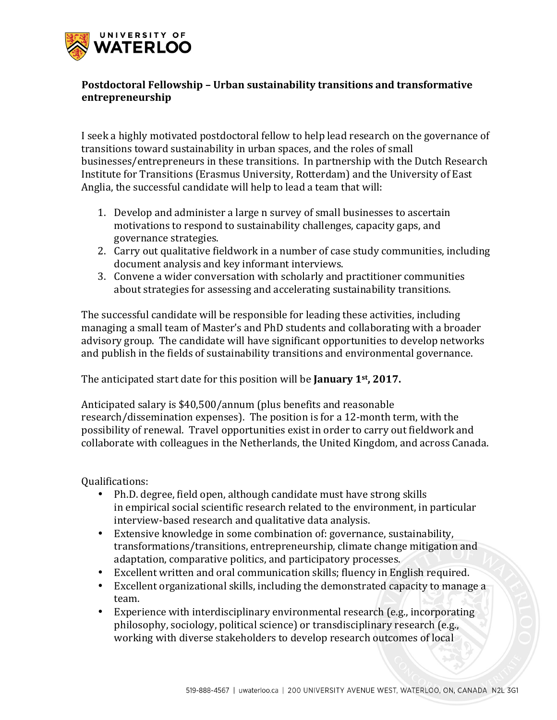

## **Postdoctoral Fellowship - Urban sustainability transitions and transformative entrepreneurship**

I seek a highly motivated postdoctoral fellow to help lead research on the governance of transitions toward sustainability in urban spaces, and the roles of small businesses/entrepreneurs in these transitions. In partnership with the Dutch Research Institute for Transitions (Erasmus University, Rotterdam) and the University of East Anglia, the successful candidate will help to lead a team that will:

- 1. Develop and administer a large n survey of small businesses to ascertain motivations to respond to sustainability challenges, capacity gaps, and governance strategies.
- 2. Carry out qualitative fieldwork in a number of case study communities, including document analysis and key informant interviews.
- 3. Convene a wider conversation with scholarly and practitioner communities about strategies for assessing and accelerating sustainability transitions.

The successful candidate will be responsible for leading these activities, including managing a small team of Master's and PhD students and collaborating with a broader advisory group. The candidate will have significant opportunities to develop networks and publish in the fields of sustainability transitions and environmental governance.

The anticipated start date for this position will be **January 1**<sup>st</sup>, 2017.

Anticipated salary is \$40,500/annum (plus benefits and reasonable research/dissemination expenses). The position is for a 12-month term, with the possibility of renewal. Travel opportunities exist in order to carry out fieldwork and collaborate with colleagues in the Netherlands, the United Kingdom, and across Canada.

Qualifications:

- Ph.D. degree, field open, although candidate must have strong skills in empirical social scientific research related to the environment, in particular interview-based research and qualitative data analysis.
- Extensive knowledge in some combination of: governance, sustainability, transformations/transitions, entrepreneurship, climate change mitigation and adaptation, comparative politics, and participatory processes.
- Excellent written and oral communication skills; fluency in English required.
- Excellent organizational skills, including the demonstrated capacity to manage a team.
- Experience with interdisciplinary environmental research (e.g., incorporating philosophy, sociology, political science) or transdisciplinary research (e.g., working with diverse stakeholders to develop research outcomes of local